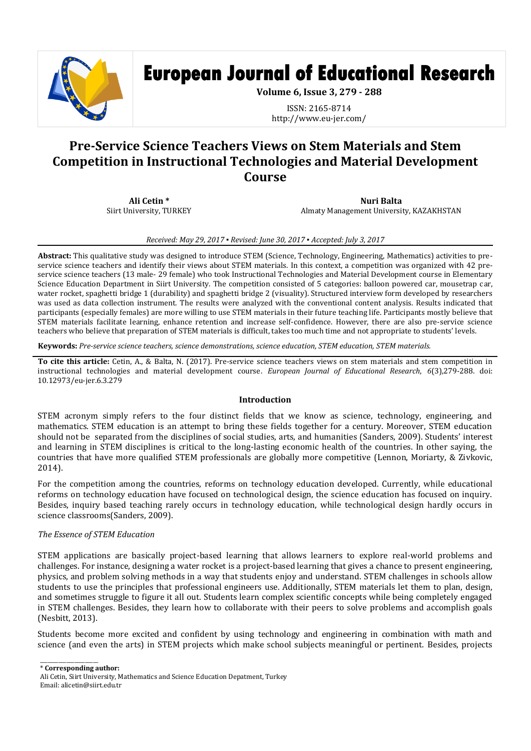

# **European Journal of Educational Research**

**Volume 6, Issue 3, 279 - 288**

ISSN: 2165-8714 http://www.eu-jer.com/

# **Pre-Service Science Teachers Views on Stem Materials and Stem Competition in Instructional Technologies and Material Development Course**

**Ali Cetin \*** Siirt University, TURKEY

**Nuri Balta** Almaty Management University, KAZAKHSTAN

#### *Received: May 29, 2017 ▪ Revised: June 30, 2017 ▪ Accepted: July 3, 2017*

**Abstract:** This qualitative study was designed to introduce STEM (Science, Technology, Engineering, Mathematics) activities to preservice science teachers and identify their views about STEM materials. In this context, a competition was organized with 42 preservice science teachers (13 male- 29 female) who took Instructional Technologies and Material Development course in Elementary Science Education Department in Siirt University. The competition consisted of 5 categories: balloon powered car, mousetrap car, water rocket, spaghetti bridge 1 (durability) and spaghetti bridge 2 (visuality). Structured interview form developed by researchers was used as data collection instrument. The results were analyzed with the conventional content analysis. Results indicated that participants (especially females) are more willing to use STEM materials in their future teaching life. Participants mostly believe that STEM materials facilitate learning, enhance retention and increase self-confidence. However, there are also pre-service science teachers who believe that preparation of STEM materials is difficult, takes too much time and not appropriate to students' levels.

**Keywords:** *Pre-service science teachers, science demonstrations, science education, STEM education, STEM materials.*

**To cite this article:** Cetin, A., & Balta, N. (2017). Pre-service science teachers views on stem materials and stem competition in instructional technologies and material development course. *European Journal of Educational Research*, *6*(3),279-288. doi: 10.12973/eu-jer.6.3.279

#### **Introduction**

STEM acronym simply refers to the four distinct fields that we know as science, technology, engineering, and mathematics. STEM education is an attempt to bring these fields together for a century. Moreover, STEM education should not be separated from the disciplines of social studies, arts, and humanities (Sanders, 2009). Students' interest and learning in STEM disciplines is critical to the long-lasting economic health of the countries. In other saying, the countries that have more qualified STEM professionals are globally more competitive (Lennon, Moriarty, & Zivkovic, 2014).

For the competition among the countries, reforms on technology education developed. Currently, while educational reforms on technology education have focused on technological design, the science education has focused on inquiry. Besides, inquiry based teaching rarely occurs in technology education, while technological design hardly occurs in science classrooms(Sanders, 2009).

# *The Essence of STEM Education*

STEM applications are basically project-based learning that allows learners to explore real-world problems and challenges. For instance, designing a water rocket is a project-based learning that gives a chance to present engineering, physics, and problem solving methods in a way that students enjoy and understand. STEM challenges in schools allow students to use the principles that professional engineers use. Additionally, STEM materials let them to plan, design, and sometimes struggle to figure it all out. Students learn complex scientific concepts while being completely engaged in STEM challenges. Besides, they learn how to collaborate with their peers to solve problems and accomplish goals (Nesbitt, 2013).

Students become more excited and confident by using technology and engineering in combination with math and science (and even the arts) in STEM projects which make school subjects meaningful or pertinent. Besides, projects

\* **Corresponding author:**

 $\overline{\phantom{a}}$  , where the contract of the contract of  $\overline{\phantom{a}}$ 

Ali Cetin, Siirt University, Mathematics and Science Education Depatment, Turkey Email: alicetin@siirt.edu.tr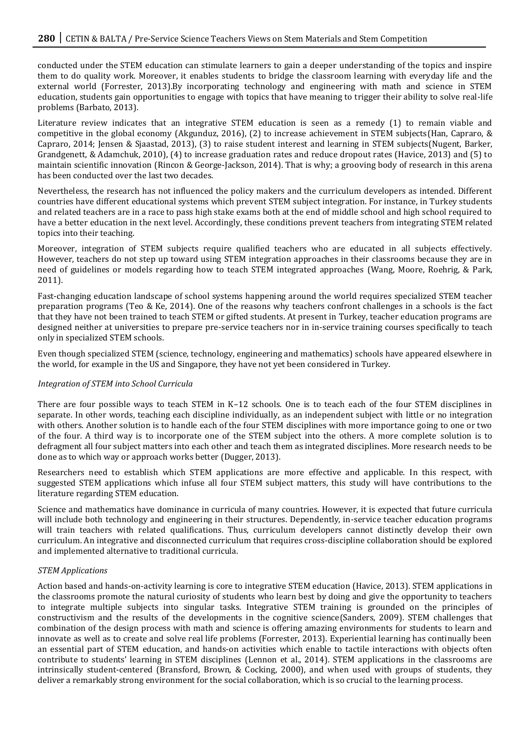conducted under the STEM education can stimulate learners to gain a deeper understanding of the topics and inspire them to do quality work. Moreover, it enables students to bridge the classroom learning with everyday life and the external world (Forrester, 2013).By incorporating technology and engineering with math and science in STEM education, students gain opportunities to engage with topics that have meaning to trigger their ability to solve real-life problems (Barbato, 2013).

Literature review indicates that an integrative STEM education is seen as a remedy (1) to remain viable and competitive in the global economy (Akgunduz, 2016), (2) to increase achievement in STEM subjects(Han, Capraro, & Capraro, 2014; Jensen & Sjaastad, 2013), (3) to raise student interest and learning in STEM subjects(Nugent, Barker, Grandgenett, & Adamchuk, 2010), (4) to increase graduation rates and reduce dropout rates (Havice, 2013) and (5) to maintain scientific innovation (Rincon & George-Jackson, 2014). That is why; a grooving body of research in this arena has been conducted over the last two decades.

Nevertheless, the research has not influenced the policy makers and the curriculum developers as intended. Different countries have different educational systems which prevent STEM subject integration. For instance, in Turkey students and related teachers are in a race to pass high stake exams both at the end of middle school and high school required to have a better education in the next level. Accordingly, these conditions prevent teachers from integrating STEM related topics into their teaching.

Moreover, integration of STEM subjects require qualified teachers who are educated in all subjects effectively. However, teachers do not step up toward using STEM integration approaches in their classrooms because they are in need of guidelines or models regarding how to teach STEM integrated approaches (Wang, Moore, Roehrig, & Park, 2011).

Fast-changing education landscape of school systems happening around the world requires specialized STEM teacher preparation programs (Teo & Ke, 2014). One of the reasons why teachers confront challenges in a schools is the fact that they have not been trained to teach STEM or gifted students. At present in Turkey, teacher education programs are designed neither at universities to prepare pre-service teachers nor in in-service training courses specifically to teach only in specialized STEM schools.

Even though specialized STEM (science, technology, engineering and mathematics) schools have appeared elsewhere in the world, for example in the US and Singapore, they have not yet been considered in Turkey.

#### *Integration of STEM into School Curricula*

There are four possible ways to teach STEM in K–12 schools. One is to teach each of the four STEM disciplines in separate. In other words, teaching each discipline individually, as an independent subject with little or no integration with others. Another solution is to handle each of the four STEM disciplines with more importance going to one or two of the four. A third way is to incorporate one of the STEM subject into the others. A more complete solution is to defragment all four subject matters into each other and teach them as integrated disciplines. More research needs to be done as to which way or approach works better (Dugger, 2013).

Researchers need to establish which STEM applications are more effective and applicable. In this respect, with suggested STEM applications which infuse all four STEM subject matters, this study will have contributions to the literature regarding STEM education.

Science and mathematics have dominance in curricula of many countries. However, it is expected that future curricula will include both technology and engineering in their structures. Dependently, in-service teacher education programs will train teachers with related qualifications. Thus, curriculum developers cannot distinctly develop their own curriculum. An integrative and disconnected curriculum that requires cross-discipline collaboration should be explored and implemented alternative to traditional curricula.

#### *STEM Applications*

Action based and hands-on-activity learning is core to integrative STEM education (Havice, 2013). STEM applications in the classrooms promote the natural curiosity of students who learn best by doing and give the opportunity to teachers to integrate multiple subjects into singular tasks. Integrative STEM training is grounded on the principles of constructivism and the results of the developments in the cognitive science(Sanders, 2009). STEM challenges that combination of the design process with math and science is offering amazing environments for students to learn and innovate as well as to create and solve real life problems (Forrester, 2013). Experiential learning has continually been an essential part of STEM education, and hands-on activities which enable to tactile interactions with objects often contribute to students' learning in STEM disciplines (Lennon et al., 2014). STEM applications in the classrooms are intrinsically student-centered (Bransford, Brown, & Cocking, 2000), and when used with groups of students, they deliver a remarkably strong environment for the social collaboration, which is so crucial to the learning process.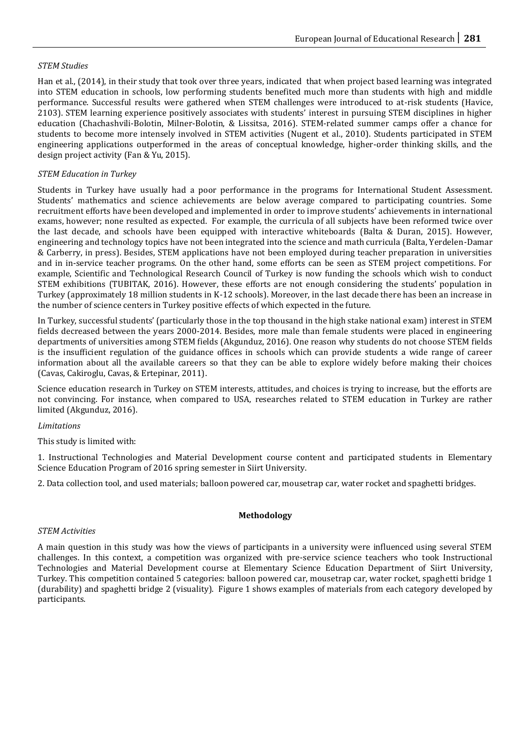# *STEM Studies*

Han et al., (2014), in their study that took over three years, indicated that when project based learning was integrated into STEM education in schools, low performing students benefited much more than students with high and middle performance. Successful results were gathered when STEM challenges were introduced to at-risk students (Havice, 2103). STEM learning experience positively associates with students' interest in pursuing STEM disciplines in higher education (Chachashvili-Bolotin, Milner-Bolotin, & Lissitsa, 2016). STEM-related summer camps offer a chance for students to become more intensely involved in STEM activities (Nugent et al., 2010). Students participated in STEM engineering applications outperformed in the areas of conceptual knowledge, higher-order thinking skills, and the design project activity (Fan & Yu, 2015).

# *STEM Education in Turkey*

Students in Turkey have usually had a poor performance in the programs for International Student Assessment. Students' mathematics and science achievements are below average compared to participating countries. Some recruitment efforts have been developed and implemented in order to improve students' achievements in international exams, however; none resulted as expected. For example, the curricula of all subjects have been reformed twice over the last decade, and schools have been equipped with interactive whiteboards (Balta & Duran, 2015). However, engineering and technology topics have not been integrated into the science and math curricula (Balta, Yerdelen-Damar & Carberry, in press). Besides, STEM applications have not been employed during teacher preparation in universities and in in-service teacher programs. On the other hand, some efforts can be seen as STEM project competitions. For example, Scientific and Technological Research Council of Turkey is now funding the schools which wish to conduct STEM exhibitions (TUBITAK, 2016). However, these efforts are not enough considering the students' population in Turkey (approximately 18 million students in K-12 schools). Moreover, in the last decade there has been an increase in the number of science centers in Turkey positive effects of which expected in the future.

In Turkey, successful students' (particularly those in the top thousand in the high stake national exam) interest in STEM fields decreased between the years 2000-2014. Besides, more male than female students were placed in engineering departments of universities among STEM fields (Akgunduz, 2016). One reason why students do not choose STEM fields is the insufficient regulation of the guidance offices in schools which can provide students a wide range of career information about all the available careers so that they can be able to explore widely before making their choices (Cavas, Cakiroglu, Cavas, & Ertepinar, 2011).

Science education research in Turkey on STEM interests, attitudes, and choices is trying to increase, but the efforts are not convincing. For instance, when compared to USA, researches related to STEM education in Turkey are rather limited (Akgunduz, 2016).

# *Limitations*

This study is limited with:

1. Instructional Technologies and Material Development course content and participated students in Elementary Science Education Program of 2016 spring semester in Siirt University.

2. Data collection tool, and used materials; balloon powered car, mousetrap car, water rocket and spaghetti bridges.

# **Methodology**

# *STEM Activities*

A main question in this study was how the views of participants in a university were influenced using several STEM challenges. In this context, a competition was organized with pre-service science teachers who took Instructional Technologies and Material Development course at Elementary Science Education Department of Siirt University, Turkey. This competition contained 5 categories: balloon powered car, mousetrap car, water rocket, spaghetti bridge 1 (durability) and spaghetti bridge 2 (visuality). Figure 1 shows examples of materials from each category developed by participants.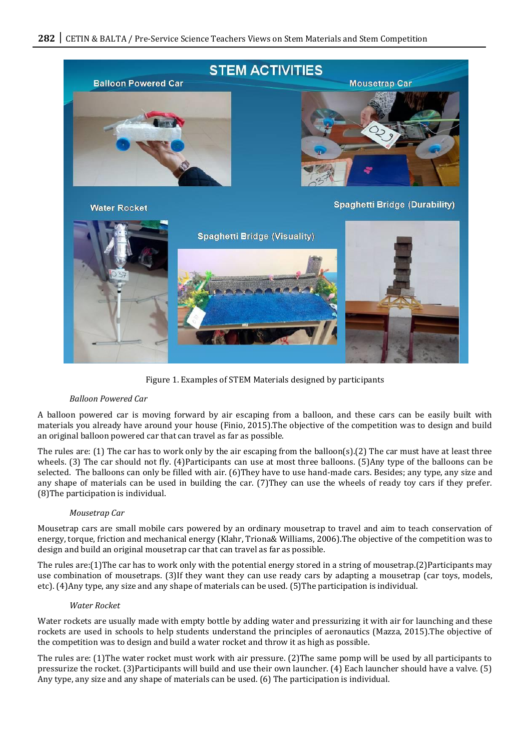

Figure 1. Examples of STEM Materials designed by participants

#### *Balloon Powered Car*

A balloon powered car is moving forward by air escaping from a balloon, and these cars can be easily built with materials you already have around your house (Finio, 2015).The objective of the competition was to design and build an original balloon powered car that can travel as far as possible.

The rules are: (1) The car has to work only by the air escaping from the balloon(s).(2) The car must have at least three wheels. (3) The car should not fly. (4)Participants can use at most three balloons. (5)Any type of the balloons can be selected. The balloons can only be filled with air. (6)They have to use hand-made cars. Besides; any type, any size and any shape of materials can be used in building the car. (7)They can use the wheels of ready toy cars if they prefer. (8)The participation is individual.

#### *Mousetrap Car*

Mousetrap cars are small mobile cars powered by an ordinary mousetrap to travel and aim to teach conservation of energy, torque, friction and mechanical energy (Klahr, Triona& Williams, 2006).The objective of the competition was to design and build an original mousetrap car that can travel as far as possible.

The rules are:(1)The car has to work only with the potential energy stored in a string of mousetrap.(2)Participants may use combination of mousetraps. (3)If they want they can use ready cars by adapting a mousetrap (car toys, models, etc). (4)Any type, any size and any shape of materials can be used. (5)The participation is individual.

#### *Water Rocket*

Water rockets are usually made with empty bottle by adding water and pressurizing it with air for launching and these rockets are used in schools to help students understand the principles of aeronautics (Mazza, 2015).The objective of the competition was to design and build a water rocket and throw it as high as possible.

The rules are: (1)The water rocket must work with air pressure. (2)The same pomp will be used by all participants to pressurize the rocket. (3)Participants will build and use their own launcher. (4) Each launcher should have a valve. (5) Any type, any size and any shape of materials can be used. (6) The participation is individual.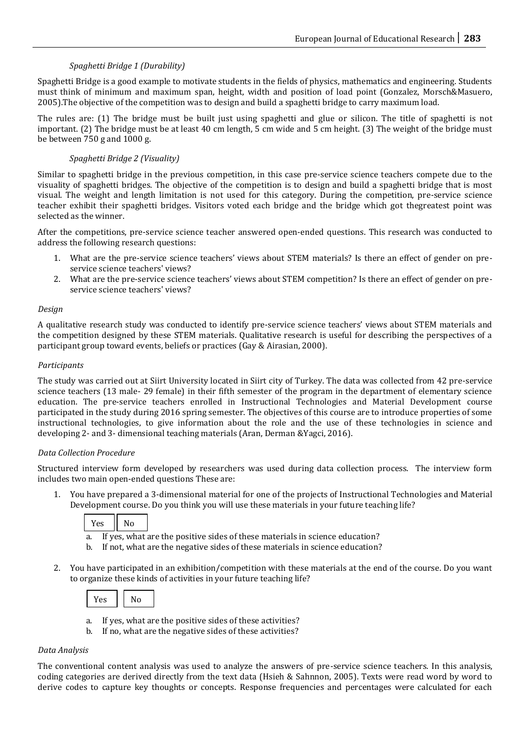# *Spaghetti Bridge 1 (Durability)*

Spaghetti Bridge is a good example to motivate students in the fields of physics, mathematics and engineering. Students must think of minimum and maximum span, height, width and position of load point (Gonzalez, Morsch&Masuero, 2005).The objective of the competition was to design and build a spaghetti bridge to carry maximum load.

The rules are: (1) The bridge must be built just using spaghetti and glue or silicon. The title of spaghetti is not important. (2) The bridge must be at least 40 cm length, 5 cm wide and 5 cm height. (3) The weight of the bridge must be between 750 g and 1000 g.

# *Spaghetti Bridge 2 (Visuality)*

Similar to spaghetti bridge in the previous competition, in this case pre-service science teachers compete due to the visuality of spaghetti bridges. The objective of the competition is to design and build a spaghetti bridge that is most visual. The weight and length limitation is not used for this category. During the competition, pre-service science teacher exhibit their spaghetti bridges. Visitors voted each bridge and the bridge which got thegreatest point was selected as the winner.

After the competitions, pre-service science teacher answered open-ended questions. This research was conducted to address the following research questions:

- 1. What are the pre-service science teachers' views about STEM materials? Is there an effect of gender on preservice science teachers' views?
- 2. What are the pre-service science teachers' views about STEM competition? Is there an effect of gender on preservice science teachers' views?

# *Design*

A qualitative research study was conducted to identify pre-service science teachers' views about STEM materials and the competition designed by these STEM materials. Qualitative research is useful for describing the perspectives of a participant group toward events, beliefs or practices (Gay & Airasian, 2000).

# *Participants*

The study was carried out at Siirt University located in Siirt city of Turkey. The data was collected from 42 pre-service science teachers (13 male- 29 female) in their fifth semester of the program in the department of elementary science education. The pre-service teachers enrolled in Instructional Technologies and Material Development course participated in the study during 2016 spring semester. The objectives of this course are to introduce properties of some instructional technologies, to give information about the role and the use of these technologies in science and developing 2- and 3- dimensional teaching materials (Aran, Derman &Yagci, 2016).

# *Data Collection Procedure*

Structured interview form developed by researchers was used during data collection process. The interview form includes two main open-ended questions These are:

1. You have prepared a 3-dimensional material for one of the projects of Instructional Technologies and Material Development course. Do you think you will use these materials in your future teaching life?

|          | - |  |
|----------|---|--|
| . .<br>- |   |  |

- a. If yes, what are the positive sides of these materials in science education?
- b. If not, what are the negative sides of these materials in science education?
- 2. You have participated in an exhibition/competition with these materials at the end of the course. Do you want to organize these kinds of activities in your future teaching life?

|--|

- a. If yes, what are the positive sides of these activities?
- b. If no, what are the negative sides of these activities?

# *Data Analysis*

The conventional content analysis was used to analyze the answers of pre-service science teachers. In this analysis, coding categories are derived directly from the text data (Hsieh & Sahnnon, 2005). Texts were read word by word to derive codes to capture key thoughts or concepts. Response frequencies and percentages were calculated for each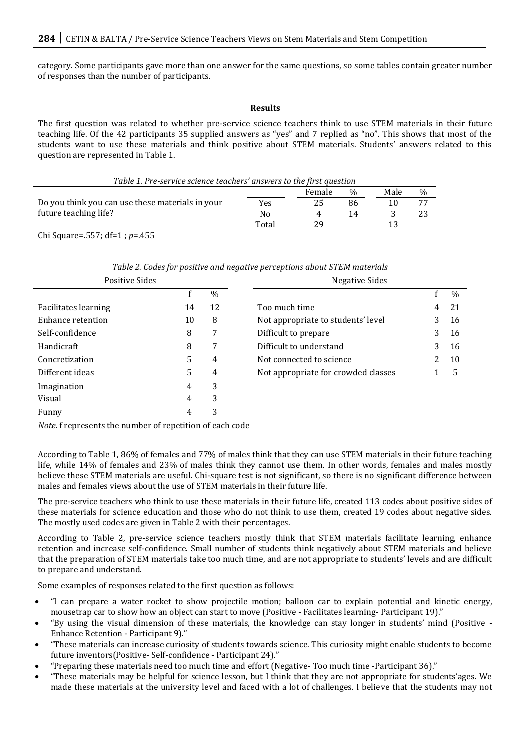category. Some participants gave more than one answer for the same questions, so some tables contain greater number of responses than the number of participants.

#### **Results**

The first question was related to whether pre-service science teachers think to use STEM materials in their future teaching life. Of the 42 participants 35 supplied answers as "yes" and 7 replied as "no". This shows that most of the students want to use these materials and think positive about STEM materials. Students' answers related to this question are represented in Table 1.

| Table 1. Pre-service science teachers' answers to the first question |       |        |               |      |               |
|----------------------------------------------------------------------|-------|--------|---------------|------|---------------|
|                                                                      |       | Female | $\frac{0}{0}$ | Male | $\frac{0}{0}$ |
| Do you think you can use these materials in your                     | Yes   |        | 86            |      | 77            |
| future teaching life?                                                | No    |        | 14            |      |               |
|                                                                      | Total |        |               |      |               |

Chi Square=.557; df=1 ; *p*=.455

| Positive Sides              |    |      | Negative Sides                      |   |      |
|-----------------------------|----|------|-------------------------------------|---|------|
|                             |    | $\%$ |                                     |   | $\%$ |
| <b>Facilitates learning</b> | 14 | 12   | Too much time                       | 4 | 21   |
| Enhance retention           | 10 | 8    | Not appropriate to students' level  | 3 | 16   |
| Self-confidence             | 8  | 7    | Difficult to prepare                | 3 | 16   |
| <b>Handicraft</b>           | 8  | 7    | Difficult to understand             | 3 | 16   |
| Concretization              | 5  | 4    | Not connected to science            | 2 | 10   |
| Different ideas             | 5  | 4    | Not appropriate for crowded classes |   | 5    |
| Imagination                 | 4  | 3    |                                     |   |      |
| Visual                      | 4  | 3    |                                     |   |      |
| Funny                       | 4  | 3    |                                     |   |      |

*Note.* f represents the number of repetition of each code

According to Table 1, 86% of females and 77% of males think that they can use STEM materials in their future teaching life, while 14% of females and 23% of males think they cannot use them. In other words, females and males mostly believe these STEM materials are useful. Chi-square test is not significant, so there is no significant difference between males and females views about the use of STEM materials in their future life.

The pre-service teachers who think to use these materials in their future life, created 113 codes about positive sides of these materials for science education and those who do not think to use them, created 19 codes about negative sides. The mostly used codes are given in Table 2 with their percentages.

According to Table 2, pre-service science teachers mostly think that STEM materials facilitate learning, enhance retention and increase self-confidence. Small number of students think negatively about STEM materials and believe that the preparation of STEM materials take too much time, and are not appropriate to students' levels and are difficult to prepare and understand.

Some examples of responses related to the first question as follows:

- "I can prepare a water rocket to show projectile motion; balloon car to explain potential and kinetic energy, mousetrap car to show how an object can start to move (Positive - Facilitates learning- Participant 19)."
- "By using the visual dimension of these materials, the knowledge can stay longer in students' mind (Positive Enhance Retention - Participant 9)."
- "These materials can increase curiosity of students towards science. This curiosity might enable students to become future inventors(Positive- Self-confidence - Participant 24)."
- "Preparing these materials need too much time and effort (Negative- Too much time -Participant 36)."
- "These materials may be helpful for science lesson, but I think that they are not appropriate for students'ages. We made these materials at the university level and faced with a lot of challenges. I believe that the students may not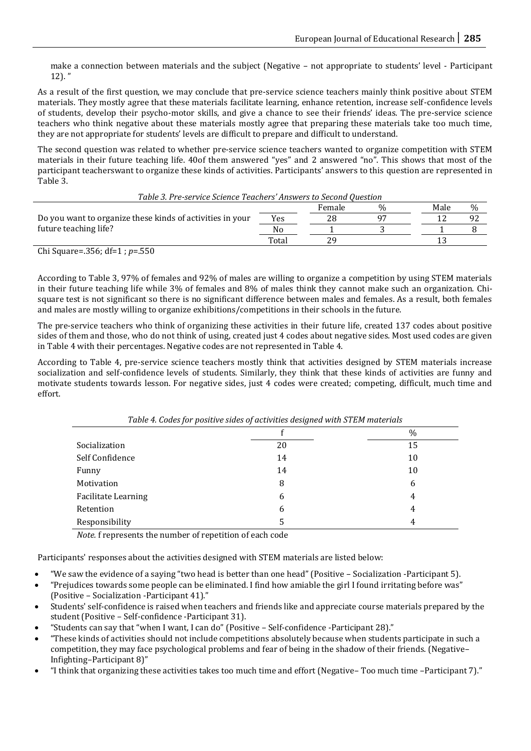make a connection between materials and the subject (Negative – not appropriate to students' level - Participant  $12$ ). "

As a result of the first question, we may conclude that pre-service science teachers mainly think positive about STEM materials. They mostly agree that these materials facilitate learning, enhance retention, increase self-confidence levels of students, develop their psycho-motor skills, and give a chance to see their friends' ideas. The pre-service science teachers who think negative about these materials mostly agree that preparing these materials take too much time, they are not appropriate for students' levels are difficult to prepare and difficult to understand.

The second question was related to whether pre-service science teachers wanted to organize competition with STEM materials in their future teaching life. 40of them answered "yes" and 2 answered "no". This shows that most of the participant teacherswant to organize these kinds of activities. Participants' answers to this question are represented in Table 3.

| Table 3. Pre-service Science Teachers' Answers to Second Question |       |        |               |      |      |
|-------------------------------------------------------------------|-------|--------|---------------|------|------|
|                                                                   |       | Female | $\frac{0}{6}$ | Male | $\%$ |
| Do you want to organize these kinds of activities in your         | Yes   | 28     | 07            |      | 92   |
| future teaching life?                                             | No    |        |               |      |      |
|                                                                   | Total | οq     |               |      |      |

Chi Square=.356; df=1 ; *p*=.550

According to Table 3, 97% of females and 92% of males are willing to organize a competition by using STEM materials in their future teaching life while 3% of females and 8% of males think they cannot make such an organization. Chisquare test is not significant so there is no significant difference between males and females. As a result, both females and males are mostly willing to organize exhibitions/competitions in their schools in the future.

The pre-service teachers who think of organizing these activities in their future life, created 137 codes about positive sides of them and those, who do not think of using, created just 4 codes about negative sides. Most used codes are given in Table 4 with their percentages. Negative codes are not represented in Table 4.

According to Table 4, pre-service science teachers mostly think that activities designed by STEM materials increase socialization and self-confidence levels of students. Similarly, they think that these kinds of activities are funny and motivate students towards lesson. For negative sides, just 4 codes were created; competing, difficult, much time and effort.

|                            | ີ  |      |
|----------------------------|----|------|
|                            |    | $\%$ |
| Socialization              | 20 | 15   |
| Self Confidence            | 14 | 10   |
| Funny                      | 14 | 10   |
| Motivation                 | 8  | 6    |
| <b>Facilitate Learning</b> | 6  | 4    |
| Retention                  | 6  | 4    |
| Responsibility             | 5. | 4    |

*Table 4. Codes for positive sides of activities designed with STEM materials*

*Note.* f represents the number of repetition of each code

Participants' responses about the activities designed with STEM materials are listed below:

- "We saw the evidence of a saying "two head is better than one head" (Positive Socialization -Participant 5).
- "Prejudices towards some people can be eliminated. I find how amiable the girl I found irritating before was" (Positive – Socialization -Participant 41)."
- Students' self-confidence is raised when teachers and friends like and appreciate course materials prepared by the student (Positive – Self-confidence -Participant 31).
- "Students can say that "when I want, I can do" (Positive Self-confidence -Participant 28)."
- "These kinds of activities should not include competitions absolutely because when students participate in such a competition, they may face psychological problems and fear of being in the shadow of their friends. (Negative– Infighting–Participant 8)"
- "I think that organizing these activities takes too much time and effort (Negative– Too much time –Participant 7)."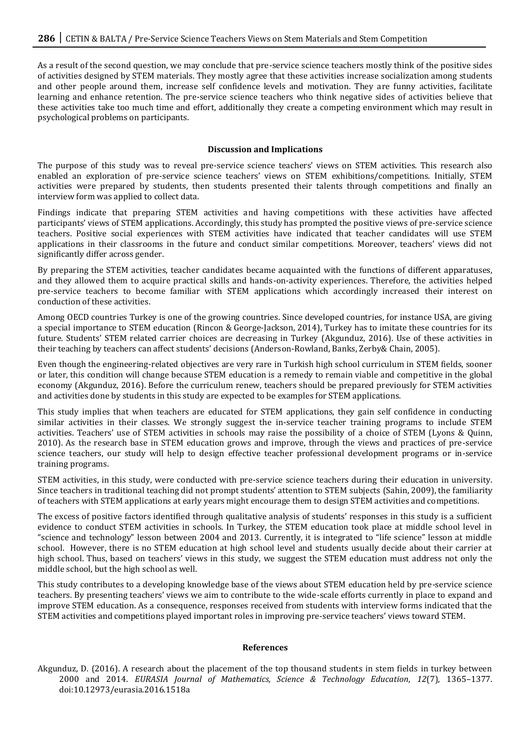As a result of the second question, we may conclude that pre-service science teachers mostly think of the positive sides of activities designed by STEM materials. They mostly agree that these activities increase socialization among students and other people around them, increase self confidence levels and motivation. They are funny activities, facilitate learning and enhance retention. The pre-service science teachers who think negative sides of activities believe that these activities take too much time and effort, additionally they create a competing environment which may result in psychological problems on participants.

#### **Discussion and Implications**

The purpose of this study was to reveal pre-service science teachers' views on STEM activities. This research also enabled an exploration of pre-service science teachers' views on STEM exhibitions/competitions. Initially, STEM activities were prepared by students, then students presented their talents through competitions and finally an interview form was applied to collect data.

Findings indicate that preparing STEM activities and having competitions with these activities have affected participants' views of STEM applications. Accordingly, this study has prompted the positive views of pre-service science teachers. Positive social experiences with STEM activities have indicated that teacher candidates will use STEM applications in their classrooms in the future and conduct similar competitions. Moreover, teachers' views did not significantly differ across gender.

By preparing the STEM activities, teacher candidates became acquainted with the functions of different apparatuses, and they allowed them to acquire practical skills and hands-on-activity experiences. Therefore, the activities helped pre-service teachers to become familiar with STEM applications which accordingly increased their interest on conduction of these activities.

Among OECD countries Turkey is one of the growing countries. Since developed countries, for instance USA, are giving a special importance to STEM education (Rincon & George-Jackson, 2014), Turkey has to imitate these countries for its future. Students' STEM related carrier choices are decreasing in Turkey (Akgunduz, 2016). Use of these activities in their teaching by teachers can affect students' decisions (Anderson-Rowland, Banks, Zerby& Chain, 2005).

Even though the engineering-related objectives are very rare in Turkish high school curriculum in STEM fields, sooner or later, this condition will change because STEM education is a remedy to remain viable and competitive in the global economy (Akgunduz, 2016). Before the curriculum renew, teachers should be prepared previously for STEM activities and activities done by students in this study are expected to be examples for STEM applications.

This study implies that when teachers are educated for STEM applications, they gain self confidence in conducting similar activities in their classes. We strongly suggest the in-service teacher training programs to include STEM activities. Teachers' use of STEM activities in schools may raise the possibility of a choice of STEM (Lyons & Quinn, 2010). As the research base in STEM education grows and improve, through the views and practices of pre-service science teachers, our study will help to design effective teacher professional development programs or in-service training programs.

STEM activities, in this study, were conducted with pre-service science teachers during their education in university. Since teachers in traditional teaching did not prompt students' attention to STEM subjects (Sahin, 2009), the familiarity of teachers with STEM applications at early years might encourage them to design STEM activities and competitions.

The excess of positive factors identified through qualitative analysis of students' responses in this study is a sufficient evidence to conduct STEM activities in schools. In Turkey, the STEM education took place at middle school level in "science and technology" lesson between 2004 and 2013. Currently, it is integrated to "life science" lesson at middle school. However, there is no STEM education at high school level and students usually decide about their carrier at high school. Thus, based on teachers' views in this study, we suggest the STEM education must address not only the middle school, but the high school as well.

This study contributes to a developing knowledge base of the views about STEM education held by pre-service science teachers. By presenting teachers' views we aim to contribute to the wide-scale efforts currently in place to expand and improve STEM education. As a consequence, responses received from students with interview forms indicated that the STEM activities and competitions played important roles in improving pre-service teachers' views toward STEM.

#### **References**

Akgunduz, D. (2016). A research about the placement of the top thousand students in stem fields in turkey between 2000 and 2014. *EURASIA Journal of Mathematics, Science & Technology Education*, *12*(7), 1365–1377. doi:10.12973/eurasia.2016.1518a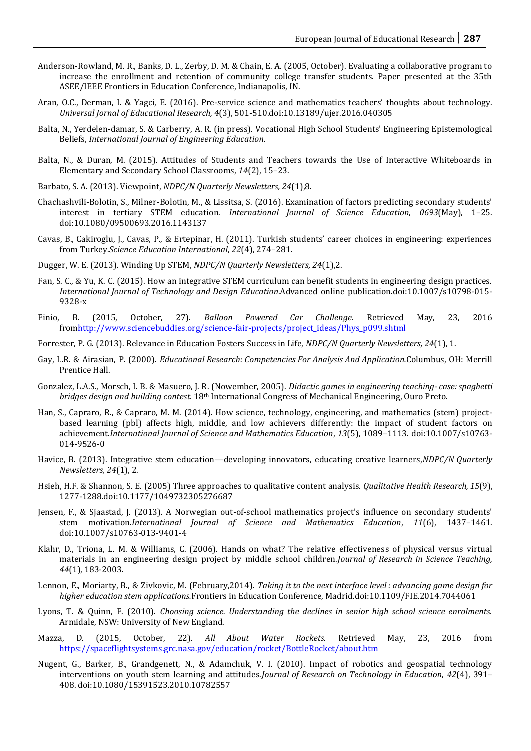- Anderson-Rowland, M. R., Banks, D. L., Zerby, D. M. & Chain, E. A. (2005, October). Evaluating a collaborative program to increase the enrollment and retention of community college transfer students. Paper presented at the 35th ASEE/IEEE Frontiers in Education Conference, Indianapolis, IN.
- Aran, O.C., Derman, I. & Yagci, E. (2016). Pre-service science and mathematics teachers' thoughts about technology. *Universal Jornal of Educational Research, 4*(3), 501-510.doi:10.13189/ujer.2016.040305
- Balta, N., Yerdelen-damar, S. & Carberry, A. R. (in press). Vocational High School Students' Engineering Epistemological Beliefs, *International Journal of Engineering Education*.
- Balta, N., & Duran, M. (2015). Attitudes of Students and Teachers towards the Use of Interactive Whiteboards in Elementary and Secondary School Classrooms, *14*(2), 15–23.
- Barbato, S. A. (2013). Viewpoint, *NDPC/N Quarterly Newsletters, 24*(1),8.
- Chachashvili-Bolotin, S., Milner-Bolotin, M., & Lissitsa, S. (2016). Examination of factors predicting secondary students' interest in tertiary STEM education. *International Journal of Science Education*, *0693*(May), 1–25. doi:10.1080/09500693.2016.1143137
- Cavas, B., Cakiroglu, J., Cavas, P., & Ertepinar, H. (2011). Turkish students' career choices in engineering: experiences from Turkey.*Science Education International*, *22*(4), 274–281.
- Dugger, W. E. (2013). Winding Up STEM, *NDPC/N Quarterly Newsletters, 24*(1),2.
- Fan, S. C., & Yu, K. C. (2015). How an integrative STEM curriculum can benefit students in engineering design practices. *International Journal of Technology and Design Education*.Advanced online publication.doi:10.1007/s10798-015- 9328-x
- Finio, B. (2015, October, 27). *Balloon Powered Car Challenge.* Retrieved May, 23, 2016 fro[mhttp://www.sciencebuddies.org/science-fair-projects/project\\_ideas/Phys\\_p099.shtml](http://www.sciencebuddies.org/science-fair-projects/project_ideas/Phys_p099.shtml)
- Forrester, P. G. (2013). Relevance in Education Fosters Success in Life, *NDPC/N Quarterly Newsletters, 24*(1), 1.
- Gay, L.R. & Airasian, P. (2000). *Educational Research: Competencies For Analysis And Application.*Columbus, OH: Merrill Prentice Hall.
- Gonzalez, L.A.S., Morsch, I. B. & Masuero, J. R. (Nowember, 2005). *Didactic games in engineering teaching- case: spaghetti bridges design and building contest.* 18th International Congress of Mechanical Engineering, Ouro Preto.
- Han, S., Capraro, R., & Capraro, M. M. (2014). How science, technology, engineering, and mathematics (stem) projectbased learning (pbl) affects high, middle, and low achievers differently: the impact of student factors on achievement.*International Journal of Science and Mathematics Education*, *13*(5), 1089–1113. doi:10.1007/s10763- 014-9526-0
- Havice, B. (2013). Integrative stem education—developing innovators, educating creative learners,*NDPC/N Quarterly Newsletters, 24*(1), 2.
- Hsieh, H.F. & Shannon, S. E. (2005) Three approaches to qualitative content analysis. *Qualitative Health Research, 15*(9), 1277-1288.doi:10.1177/1049732305276687
- Jensen, F., & Sjaastad, J. (2013). A Norwegian out-of-school mathematics project's influence on secondary students' stem motivation.*International Journal of Science and Mathematics Education*, *11*(6), 1437–1461. doi:10.1007/s10763-013-9401-4
- Klahr, D., Triona, L. M. & Williams, C. (2006). Hands on what? The relative effectiveness of physical versus virtual materials in an engineering design project by middle school children.*Journal of Research in Science Teaching, 44*(1), 183-2003.
- Lennon, E., Moriarty, B., & Zivkovic, M. (February,2014). *Taking it to the next interface level : advancing game design for higher education stem applications.*Frontiers in Education Conference, Madrid.doi:10.1109/FIE.2014.7044061
- Lyons, T. & Quinn, F. (2010). *Choosing science. Understanding the declines in senior high school science enrolments.* Armidale, NSW: University of New England.
- Mazza, D. (2015, October, 22). *All About Water Rockets.* Retrieved May, 23, 2016 from <https://spaceflightsystems.grc.nasa.gov/education/rocket/BottleRocket/about.htm>
- Nugent, G., Barker, B., Grandgenett, N., & Adamchuk, V. I. (2010). Impact of robotics and geospatial technology interventions on youth stem learning and attitudes.*Journal of Research on Technology in Education*, *42*(4), 391– 408. doi:10.1080/15391523.2010.10782557